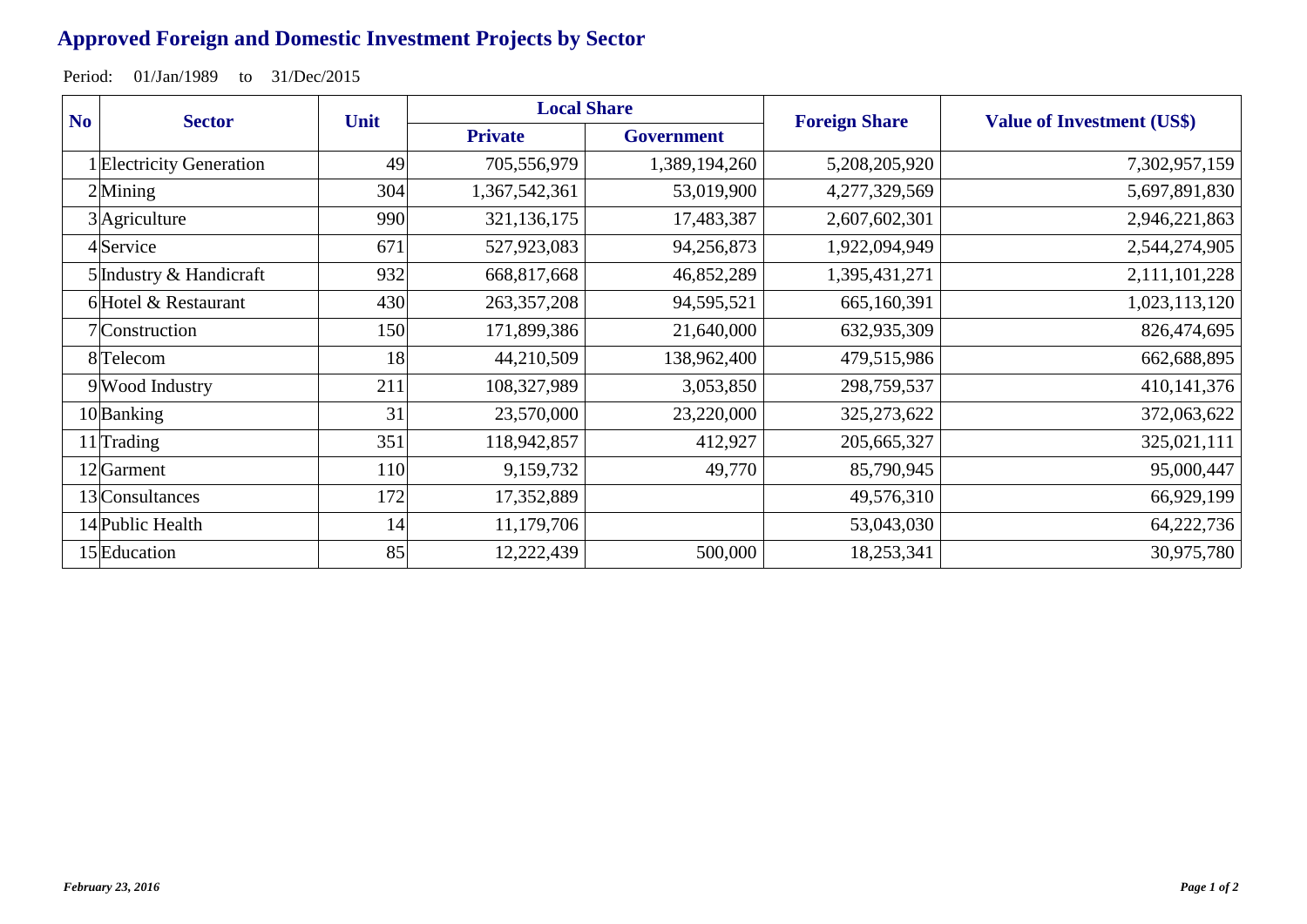## **Approved Foreign and Domestic Investment Projects by Sector**

Period: 01/Jan/1989 to 31/Dec/2015

| N <sub>o</sub> | <b>Sector</b>            | Unit | <b>Local Share</b> |                   | <b>Foreign Share</b> | <b>Value of Investment (US\$)</b> |
|----------------|--------------------------|------|--------------------|-------------------|----------------------|-----------------------------------|
|                |                          |      | <b>Private</b>     | <b>Government</b> |                      |                                   |
|                | 1 Electricity Generation | 49   | 705,556,979        | 1,389,194,260     | 5,208,205,920        | 7,302,957,159                     |
| $2$ Mining     |                          | 304  | 1,367,542,361      | 53,019,900        | 4,277,329,569        | 5,697,891,830                     |
|                | $3$ Agriculture          | 990  | 321,136,175        | 17,483,387        | 2,607,602,301        | 2,946,221,863                     |
|                | 4Service                 | 671  | 527,923,083        | 94,256,873        | 1,922,094,949        | 2,544,274,905                     |
|                | 5 Industry & Handicraft  | 932  | 668,817,668        | 46,852,289        | 1,395,431,271        | 2,111,101,228                     |
|                | 6 Hotel & Restaurant     | 430  | 263, 357, 208      | 94,595,521        | 665,160,391          | 1,023,113,120                     |
|                | 7 Construction           | 150  | 171,899,386        | 21,640,000        | 632,935,309          | 826,474,695                       |
|                | 8 Telecom                | 18   | 44,210,509         | 138,962,400       | 479,515,986          | 662,688,895                       |
|                | 9 Wood Industry          | 211  | 108,327,989        | 3,053,850         | 298,759,537          | 410, 141, 376                     |
|                | 10Banking                | 31   | 23,570,000         | 23,220,000        | 325, 273, 622        | 372,063,622                       |
|                | $11$ <sup>Trading</sup>  | 351  | 118,942,857        | 412,927           | 205,665,327          | 325,021,111                       |
|                | 12 Garment               | 110  | 9,159,732          | 49,770            | 85,790,945           | 95,000,447                        |
|                | 13 Consultances          | 172  | 17,352,889         |                   | 49,576,310           | 66,929,199                        |
|                | 14 Public Health         | 14   | 11,179,706         |                   | 53,043,030           | 64,222,736                        |
|                | 15 Education             | 85   | 12,222,439         | 500,000           | 18,253,341           | 30,975,780                        |